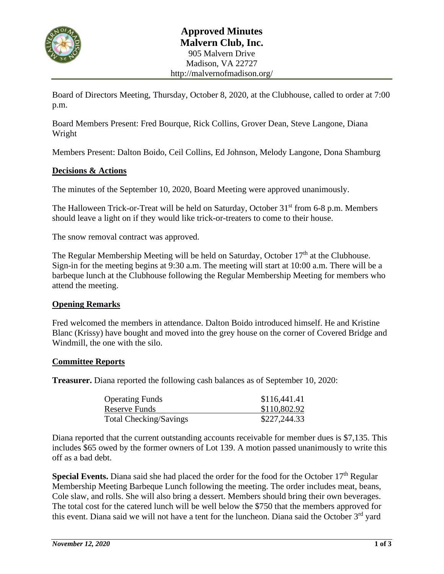

Board of Directors Meeting, Thursday, October 8, 2020, at the Clubhouse, called to order at 7:00 p.m.

Board Members Present: Fred Bourque, Rick Collins, Grover Dean, Steve Langone, Diana Wright

Members Present: Dalton Boido, Ceil Collins, Ed Johnson, Melody Langone, Dona Shamburg

### **Decisions & Actions**

The minutes of the September 10, 2020, Board Meeting were approved unanimously.

The Halloween Trick-or-Treat will be held on Saturday, October 31<sup>st</sup> from 6-8 p.m. Members should leave a light on if they would like trick-or-treaters to come to their house.

The snow removal contract was approved.

The Regular Membership Meeting will be held on Saturday, October  $17<sup>th</sup>$  at the Clubhouse. Sign-in for the meeting begins at 9:30 a.m. The meeting will start at 10:00 a.m. There will be a barbeque lunch at the Clubhouse following the Regular Membership Meeting for members who attend the meeting.

#### **Opening Remarks**

Fred welcomed the members in attendance. Dalton Boido introduced himself. He and Kristine Blanc (Krissy) have bought and moved into the grey house on the corner of Covered Bridge and Windmill, the one with the silo.

#### **Committee Reports**

**Treasurer.** Diana reported the following cash balances as of September 10, 2020:

| <b>Operating Funds</b>        | \$116,441.41 |
|-------------------------------|--------------|
| Reserve Funds                 | \$110,802.92 |
| <b>Total Checking/Savings</b> | \$227,244.33 |

Diana reported that the current outstanding accounts receivable for member dues is \$7,135. This includes \$65 owed by the former owners of Lot 139. A motion passed unanimously to write this off as a bad debt.

**Special Events.** Diana said she had placed the order for the food for the October 17<sup>th</sup> Regular Membership Meeting Barbeque Lunch following the meeting. The order includes meat, beans, Cole slaw, and rolls. She will also bring a dessert. Members should bring their own beverages. The total cost for the catered lunch will be well below the \$750 that the members approved for this event. Diana said we will not have a tent for the luncheon. Diana said the October  $3<sup>rd</sup>$  yard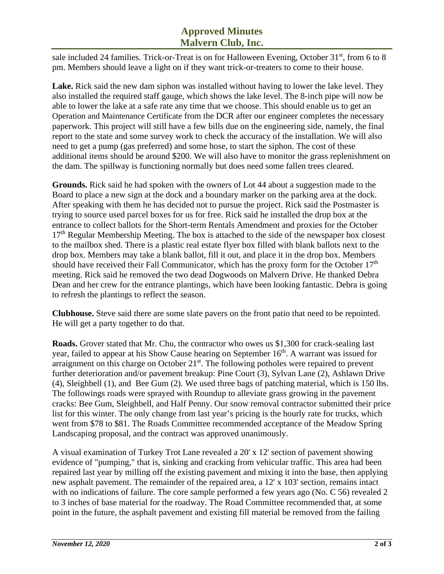# **Approved Minutes Malvern Club, Inc.**

sale included 24 families. Trick-or-Treat is on for Halloween Evening, October 31<sup>st</sup>, from 6 to 8 pm. Members should leave a light on if they want trick-or-treaters to come to their house.

**Lake.** Rick said the new dam siphon was installed without having to lower the lake level. They also installed the required staff gauge, which shows the lake level. The 8-inch pipe will now be able to lower the lake at a safe rate any time that we choose. This should enable us to get an Operation and Maintenance Certificate from the DCR after our engineer completes the necessary paperwork. This project will still have a few bills due on the engineering side, namely, the final report to the state and some survey work to check the accuracy of the installation. We will also need to get a pump (gas preferred) and some hose, to start the siphon. The cost of these additional items should be around \$200. We will also have to monitor the grass replenishment on the dam. The spillway is functioning normally but does need some fallen trees cleared.

**Grounds.** Rick said he had spoken with the owners of Lot 44 about a suggestion made to the Board to place a new sign at the dock and a boundary marker on the parking area at the dock. After speaking with them he has decided not to pursue the project. Rick said the Postmaster is trying to source used parcel boxes for us for free. Rick said he installed the drop box at the entrance to collect ballots for the Short-term Rentals Amendment and proxies for the October  $17<sup>th</sup>$  Regular Membership Meeting. The box is attached to the side of the newspaper box closest to the mailbox shed. There is a plastic real estate flyer box filled with blank ballots next to the drop box. Members may take a blank ballot, fill it out, and place it in the drop box. Members should have received their Fall Communicator, which has the proxy form for the October  $17<sup>th</sup>$ meeting. Rick said he removed the two dead Dogwoods on Malvern Drive. He thanked Debra Dean and her crew for the entrance plantings, which have been looking fantastic. Debra is going to refresh the plantings to reflect the season.

**Clubhouse.** Steve said there are some slate pavers on the front patio that need to be repointed. He will get a party together to do that.

**Roads.** Grover stated that Mr. Chu, the contractor who owes us \$1,300 for crack-sealing last year, failed to appear at his Show Cause hearing on September 16<sup>th</sup>. A warrant was issued for arraignment on this charge on October  $21<sup>st</sup>$ . The following potholes were repaired to prevent further deterioration and/or pavement breakup: Pine Court (3), Sylvan Lane (2), Ashlawn Drive (4), Sleighbell (1), and Bee Gum (2). We used three bags of patching material, which is 150 lbs. The followings roads were sprayed with Roundup to alleviate grass growing in the pavement cracks: Bee Gum, Sleighbell, and Half Penny. Our snow removal contractor submitted their price list for this winter. The only change from last year's pricing is the hourly rate for trucks, which went from \$78 to \$81. The Roads Committee recommended acceptance of the Meadow Spring Landscaping proposal, and the contract was approved unanimously.

A visual examination of Turkey Trot Lane revealed a 20' x 12' section of pavement showing evidence of "pumping," that is, sinking and cracking from vehicular traffic. This area had been repaired last year by milling off the existing pavement and mixing it into the base, then applying new asphalt pavement. The remainder of the repaired area, a 12' x 103' section, remains intact with no indications of failure. The core sample performed a few years ago (No. C 56) revealed 2 to 3 inches of base material for the roadway. The Road Committee recommended that, at some point in the future, the asphalt pavement and existing fill material be removed from the failing